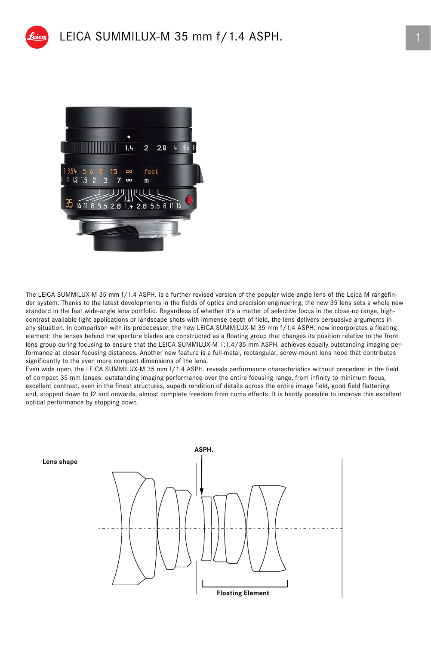

## LEICA SUMMILUX-M 35 mm f / 1.4 ASPH.



The LEICA SUMMILUX-M 35 mm f/1.4 ASPH. is a further revised version of the popular wide-angle lens of the Leica M rangefinder system. Thanks to the latest developments in the fields of optics and precision engineering, the new 35 lens sets a whole new standard in the fast wide-angle lens portfolio. Regardless of whether it's a matter of selective focus in the close-up range, highcontrast available light applications or landscape shots with immense depth of field, the lens delivers persuasive arguments in any situation. In comparison with its predecessor, the new LEICA SUMMILUX-M 35 mm f/1.4 ASPH. now incorporates a floating element: the lenses behind the aperture blades are constructed as a floating group that changes its position relative to the front lens group during focusing to ensure that the LEICA SUMMILUX-M 1:1.4/35 mm ASPH. achieves equally outstanding imaging performance at closer focusing distances. Another new feature is a full-metal, rectangular, screw-mount lens hood that contributes significantly to the even more compact dimensions of the lens.

Even wide open, the LEICA SUMMILUX-M 35 mm f/1.4 ASPH. reveals performance characteristics without precedent in the field of compact 35 mm lenses: outstanding imaging performance over the entire focusing range, from infinity to minimum focus, excellent contrast, even in the finest structures, superb rendition of details across the entire image field, good field flattening and, stopped down to f2 and onwards, almost complete freedom from coma effects. It is hardly possible to improve this excellent optical performance by stopping down.

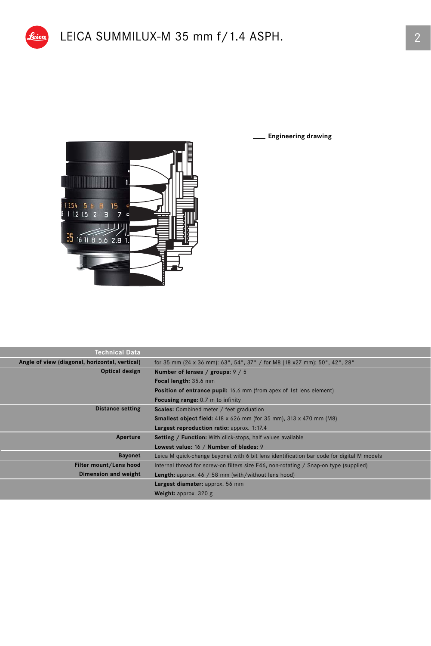

Π

**Engineering drawing**

| <b>Technical Data</b>                          |                                                                                           |  |  |  |  |
|------------------------------------------------|-------------------------------------------------------------------------------------------|--|--|--|--|
| Angle of view (diagonal, horizontal, vertical) | for 35 mm (24 x 36 mm): 63°, 54°, 37° / for M8 (18 x27 mm): 50°, 42°, 28°                 |  |  |  |  |
| Optical design                                 | Number of lenses / groups: $9/5$                                                          |  |  |  |  |
|                                                | Focal length: 35.6 mm                                                                     |  |  |  |  |
|                                                | <b>Position of entrance pupil:</b> 16.6 mm (from apex of 1st lens element)                |  |  |  |  |
|                                                | <b>Focusing range:</b> 0.7 m to infinity                                                  |  |  |  |  |
| <b>Distance setting</b>                        | <b>Scales:</b> Combined meter / feet graduation                                           |  |  |  |  |
|                                                | <b>Smallest object field:</b> 418 x 626 mm (for 35 mm), 313 x 470 mm (M8)                 |  |  |  |  |
|                                                | Largest reproduction ratio: approx. 1:17.4                                                |  |  |  |  |
| Aperture                                       | <b>Setting / Function:</b> With click-stops, half values available                        |  |  |  |  |
|                                                | Lowest value: 16 / Number of blades: 9                                                    |  |  |  |  |
| <b>Bayonet</b>                                 | Leica M quick-change bayonet with 6 bit lens identification bar code for digital M models |  |  |  |  |
| Filter mount/Lens hood                         | Internal thread for screw-on filters size E46, non-rotating / Snap-on type (supplied)     |  |  |  |  |
| Dimension and weight                           | <b>Length:</b> approx. $46 / 58$ mm (with/without lens hood)                              |  |  |  |  |
|                                                | Largest diamater: approx. 56 mm                                                           |  |  |  |  |
|                                                | <b>Weight:</b> approx. $320$ g                                                            |  |  |  |  |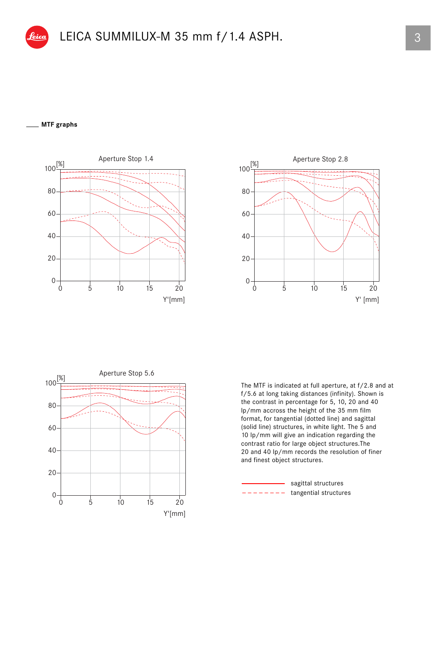## **MTF graphs**







The MTF is indicated at full aperture, at f/2.8 and at f/5.6 at long taking distances (infinity). Shown is the contrast in percentage for 5, 10, 20 and 40 lp/mm accross the height of the 35 mm film format, for tangential (dotted line) and sagittal (solid line) structures, in white light. The 5 and 10 lp/mm will give an indication regarding the contrast ratio for large object structures.The 20 and 40 lp/mm records the resolution of finer and finest object structures.

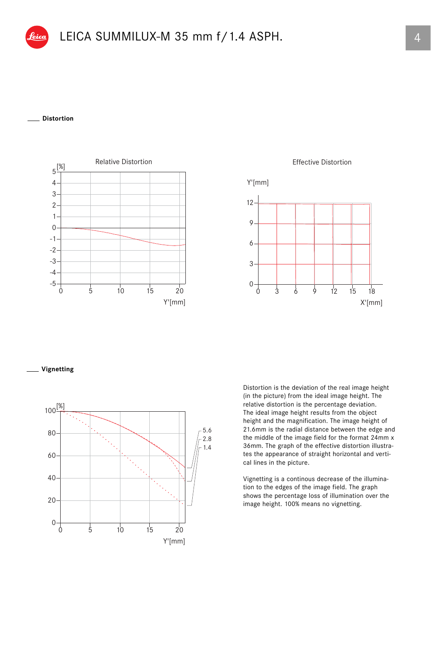

## **Distortion**



**Effective Distortion** 



**Vignetting**



Distortion is the deviation of the real image height (in the picture) from the ideal image height. The relative distortion is the percentage deviation. The ideal image height results from the object height and the magnification. The image height of 21.6mm is the radial distance between the edge and the middle of the image field for the format 24mm x 36mm. The graph of the effective distortion illustrates the appearance of straight horizontal and vertical lines in the picture.

Vignetting is a continous decrease of the illumination to the edges of the image field. The graph shows the percentage loss of illumination over the image height. 100% means no vignetting.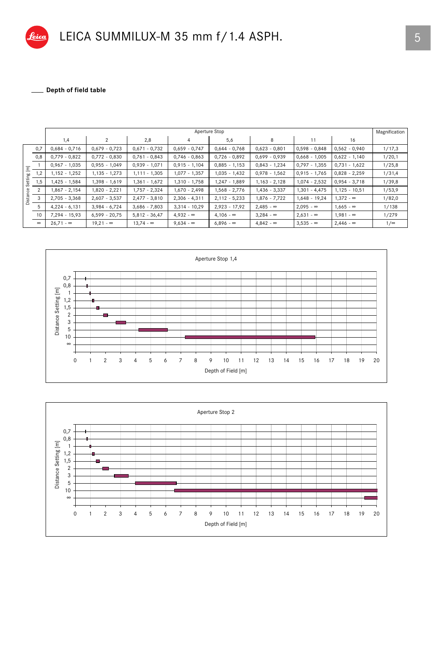

\_ Depth of field table  $\mathcal{L}$ 

|           |          | Aperture Stop    |                  |                  |                  |                  |                  |                  |                  |            |  |
|-----------|----------|------------------|------------------|------------------|------------------|------------------|------------------|------------------|------------------|------------|--|
|           |          | 1,4              | $\overline{2}$   | 2,8              | 4                | 5,6              | 8                | 11               | 16               |            |  |
|           | 0,7      | $0,684 - 0,716$  | $0,679 - 0,723$  | $0,671 - 0,732$  | $0,659 - 0,747$  | $0,644 - 0,768$  | $0,623 - 0,801$  | $0,598 - 0,848$  | $0,562 - 0,940$  | 1/17,3     |  |
|           | 0,8      | $0,779 - 0,822$  | $0,772 - 0,830$  | $0,761 - 0,843$  | $0,746 - 0,863$  | $0,726 - 0,892$  | $0,699 - 0,939$  | $0,668 - 1,005$  | $0,622 - 1,140$  | 1/20,1     |  |
| Ξ         |          | $0,967 - 1,035$  | $0,955 - 1,049$  | $0,939 - 1,071$  | $0,915 - 1,104$  | $0,885 - 1,153$  | $0,843 - 1,234$  | $0,797 - 1,355$  | $0,731 - 1,622$  | 1/25,8     |  |
| bo<br>븅   | 1,2      | $1,152 - 1,252$  | $1,135 - 1,273$  | 1,111 - 1,305    | 1,077 - 1,357    | 1,035 - 1,432    | $0,978 - 1,562$  | $0,915 - 1,765$  | $0,828 - 2,259$  | 1/31,4     |  |
|           | 1,5      | $1,425 - 1,584$  | 1,398 - 1,619    | 1,361 - 1,672    | 1,310 - 1,758    | 1,247 - 1,889    | $1,163 - 2,128$  | $1,074 - 2,532$  | $0,954 - 3,718$  | 1/39,8     |  |
| ęδ        | 2        | 1,867 - 2,154    | 1,820 - 2,221    | 1,757 - 2,324    | 1,670 - 2,498    | 1,568 - 2,776    | 1,436 - 3,337    | $1,301 - 4,475$  | $1,125 - 10,51$  | 1/53,9     |  |
| g         | 3        | $2,705 - 3,368$  | $2,607 - 3,537$  | $2,477 - 3,810$  | $2,306 - 4,311$  | $2,112 - 5,233$  | 1,876 - 7,722    | $1,648 - 19,24$  | $1,372 - \infty$ | 1/82,0     |  |
| $\supset$ | 5        | $4,224 - 6,131$  | $3,984 - 6,724$  | $3,686 - 7,803$  | $3,314 - 10,29$  | $2,923 - 17,92$  | $2,485 - \infty$ | $2,095 - \infty$ | $1,665 - \infty$ | 1/138      |  |
|           | 10       | $7,294 - 15,93$  | $6,599 - 20,75$  | $5,812 - 36,47$  | $4.932 - \infty$ | $4.106 - \infty$ | $3.284 - \infty$ | $2,631 - \infty$ | $1.981 - \infty$ | 1/279      |  |
|           | $\infty$ | $26.71 - \infty$ | $19.21 - \infty$ | $13.74 - \infty$ | $9.634 - \infty$ | $6.896 - \infty$ | $4.842 - \infty$ | $3,535 - \infty$ | $2,446 - \infty$ | $1/\infty$ |  |



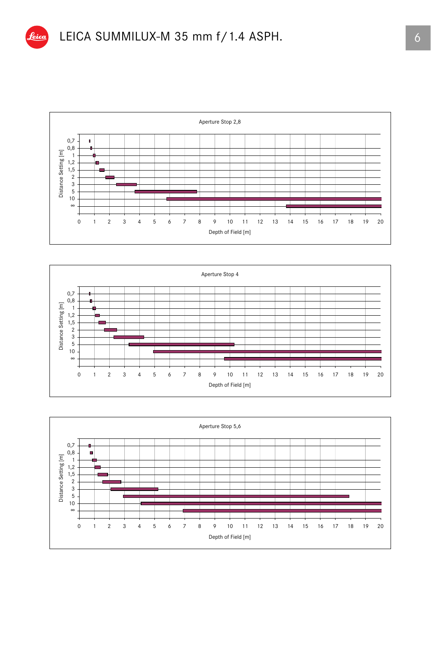